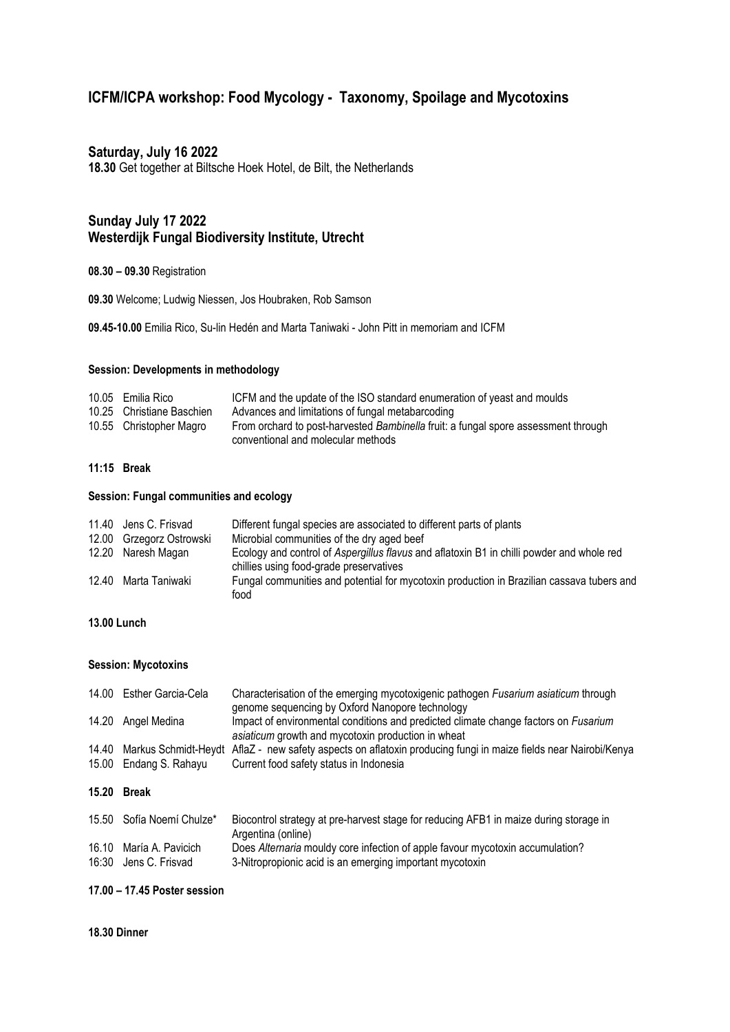# **ICFM/ICPA workshop: Food Mycology - Taxonomy, Spoilage and Mycotoxins**

## **Saturday, July 16 2022**

**18.30** Get together at Biltsche Hoek Hotel, de Bilt, the Netherlands

# **Sunday July 17 2022 Westerdijk Fungal Biodiversity Institute, Utrecht**

#### **08.30 – 09.30** Registration

**09.30** Welcome; Ludwig Niessen, Jos Houbraken, Rob Samson

**09.45-10.00** Emilia Rico, Su-lin Hedén and Marta Taniwaki - John Pitt in memoriam and ICFM

#### **Session: Developments in methodology**

| 10.05 Emilia Rico         | ICFM and the update of the ISO standard enumeration of yeast and moulds                                                  |
|---------------------------|--------------------------------------------------------------------------------------------------------------------------|
| 10.25 Christiane Baschien | Advances and limitations of fungal metabarcoding                                                                         |
| 10.55 Christopher Magro   | From orchard to post-harvested Bambinella fruit: a fungal spore assessment through<br>conventional and molecular methods |

#### **11:15 Break**

### **Session: Fungal communities and ecology**

|       | 11.40 Jens C. Frisvad    | Different fungal species are associated to different parts of plants                                                                 |
|-------|--------------------------|--------------------------------------------------------------------------------------------------------------------------------------|
|       | 12.00 Grzegorz Ostrowski | Microbial communities of the dry aged beef                                                                                           |
|       | 12.20 Naresh Magan       | Ecology and control of Aspergillus flavus and aflatoxin B1 in chilli powder and whole red<br>chillies using food-grade preservatives |
| 12.40 | Marta Taniwaki           | Fungal communities and potential for mycotoxin production in Brazilian cassava tubers and<br>food                                    |

## **13.00 Lunch**

## **Session: Mycotoxins**

| Characterisation of the emerging mycotoxigenic pathogen Fusarium asiaticum through<br>Impact of environmental conditions and predicted climate change factors on Fusarium |
|---------------------------------------------------------------------------------------------------------------------------------------------------------------------------|
|                                                                                                                                                                           |
| AflaZ - new safety aspects on aflatoxin producing fungi in maize fields near Nairobi/Kenya                                                                                |
|                                                                                                                                                                           |
|                                                                                                                                                                           |
|                                                                                                                                                                           |
| Biocontrol strategy at pre-harvest stage for reducing AFB1 in maize during storage in                                                                                     |
|                                                                                                                                                                           |
|                                                                                                                                                                           |

#### **17.00 – 17.45 Poster session**

#### **18.30 Dinner**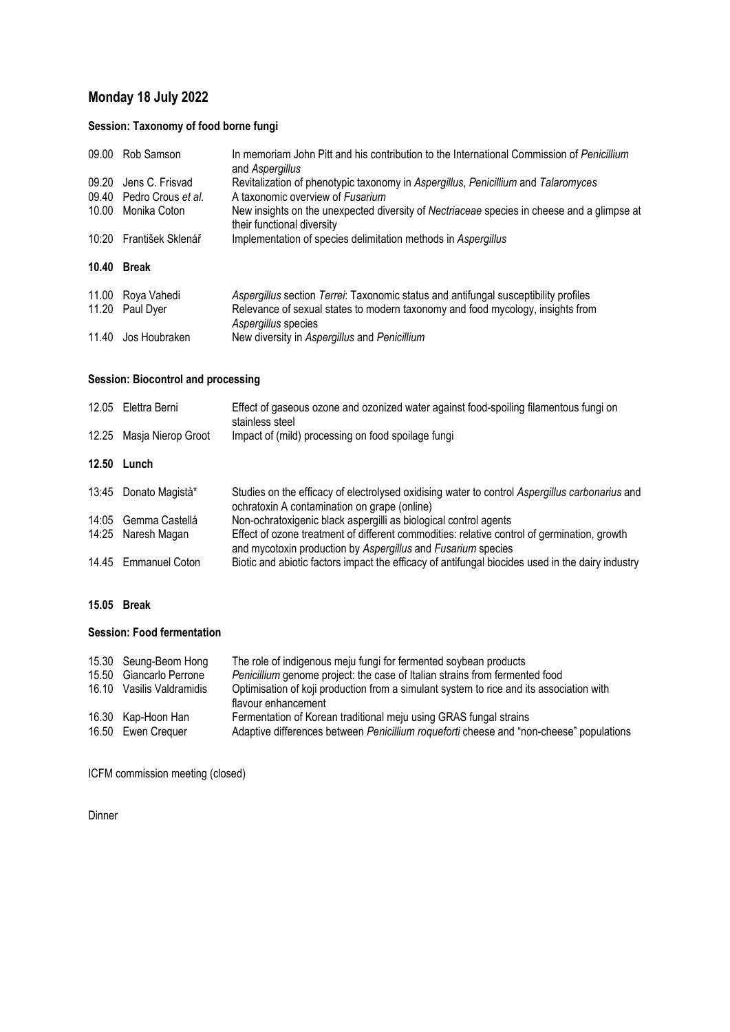# **Monday 18 July 2022**

# **Session: Taxonomy of food borne fungi**

| 09.00 | Rob Samson               | In memoriam John Pitt and his contribution to the International Commission of Penicillium<br>and Aspergillus                                                                                 |
|-------|--------------------------|----------------------------------------------------------------------------------------------------------------------------------------------------------------------------------------------|
| 09.20 | Jens C. Frisvad          | Revitalization of phenotypic taxonomy in Aspergillus, Penicillium and Talaromyces                                                                                                            |
|       | 09.40 Pedro Crous et al. | A taxonomic overview of Fusarium                                                                                                                                                             |
| 10.00 | Monika Coton             | New insights on the unexpected diversity of Nectriaceae species in cheese and a glimpse at<br>their functional diversity                                                                     |
| 10:20 | František Sklenář        | Implementation of species delimitation methods in Aspergillus                                                                                                                                |
|       |                          |                                                                                                                                                                                              |
| 10.40 | <b>Break</b>             |                                                                                                                                                                                              |
| 11.00 |                          |                                                                                                                                                                                              |
| 11.20 | Roya Vahedi<br>Paul Dyer | Aspergillus section Terrei: Taxonomic status and antifungal susceptibility profiles<br>Relevance of sexual states to modern taxonomy and food mycology, insights from<br>Aspergillus species |

# **Session: Biocontrol and processing**

| 12.05 | Elettra Berni        | Effect of gaseous ozone and ozonized water against food-spoiling filamentous fungi on<br>stainless steel                                                    |
|-------|----------------------|-------------------------------------------------------------------------------------------------------------------------------------------------------------|
| 12.25 | Masja Nierop Groot   | Impact of (mild) processing on food spoilage fungi                                                                                                          |
| 12.50 | Lunch                |                                                                                                                                                             |
| 13:45 | Donato Magistà*      | Studies on the efficacy of electrolysed oxidising water to control Aspergillus carbonarius and<br>ochratoxin A contamination on grape (online)              |
| 14:05 | Gemma Castellá       | Non-ochratoxigenic black aspergilli as biological control agents                                                                                            |
| 14:25 | Naresh Magan         | Effect of ozone treatment of different commodities: relative control of germination, growth<br>and mycotoxin production by Aspergillus and Fusarium species |
|       | 14.45 Emmanuel Coton | Biotic and abiotic factors impact the efficacy of antifungal biocides used in the dairy industry                                                            |

## **15.05 Break**

## **Session: Food fermentation**

| 15.50 | 15.30 Seung-Beom Hong<br>Giancarlo Perrone | The role of indigenous meju fungi for fermented soybean products<br>Penicillium genome project: the case of Italian strains from fermented food |
|-------|--------------------------------------------|-------------------------------------------------------------------------------------------------------------------------------------------------|
|       |                                            |                                                                                                                                                 |
|       | 16.10 Vasilis Valdramidis                  | Optimisation of koji production from a simulant system to rice and its association with<br>flavour enhancement                                  |
|       | 16.30 Kap-Hoon Han                         | Fermentation of Korean traditional meju using GRAS fungal strains                                                                               |
|       | 16.50 Ewen Crequer                         | Adaptive differences between Penicillium roqueforti cheese and "non-cheese" populations                                                         |

ICFM commission meeting (closed)

Dinner